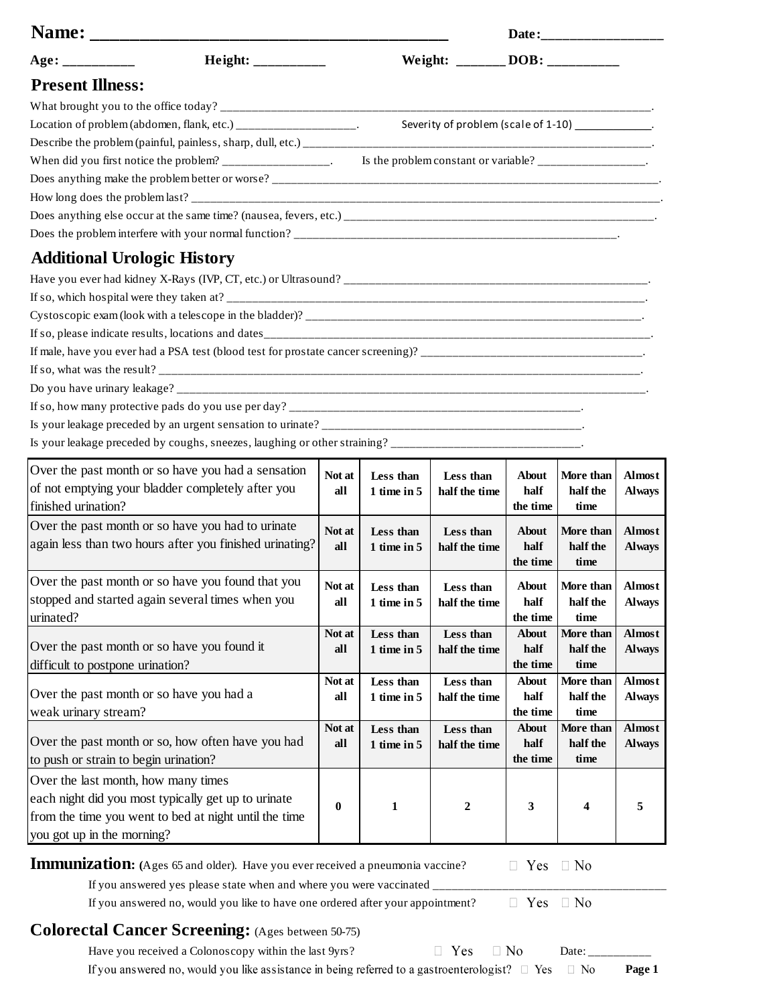| Name:                                                           |        |                                  |                                                       |                  |                  |               |
|-----------------------------------------------------------------|--------|----------------------------------|-------------------------------------------------------|------------------|------------------|---------------|
| Age: ___________                                                |        | Weight: ________ DOB: __________ |                                                       |                  |                  |               |
| <b>Present Illness:</b>                                         |        |                                  |                                                       |                  |                  |               |
|                                                                 |        |                                  |                                                       |                  |                  |               |
| Location of problem (abdomen, flank, etc.) ___________________. |        |                                  | Severity of problem (scale of 1-10) ____________.     |                  |                  |               |
|                                                                 |        |                                  |                                                       |                  |                  |               |
| When did you first notice the problem? _________________.       |        |                                  | Is the problem constant or variable? _______________. |                  |                  |               |
|                                                                 |        |                                  |                                                       |                  |                  |               |
|                                                                 |        |                                  |                                                       |                  |                  |               |
|                                                                 |        |                                  |                                                       |                  |                  |               |
|                                                                 |        |                                  |                                                       |                  |                  |               |
| <b>Additional Urologic History</b>                              |        |                                  |                                                       |                  |                  |               |
|                                                                 |        |                                  |                                                       |                  |                  |               |
|                                                                 |        |                                  |                                                       |                  |                  |               |
|                                                                 |        |                                  |                                                       |                  |                  |               |
|                                                                 |        |                                  |                                                       |                  |                  |               |
|                                                                 |        |                                  |                                                       |                  |                  |               |
|                                                                 |        |                                  |                                                       |                  |                  |               |
|                                                                 |        |                                  |                                                       |                  |                  |               |
|                                                                 |        |                                  |                                                       |                  |                  |               |
|                                                                 |        |                                  |                                                       |                  |                  |               |
|                                                                 |        |                                  |                                                       |                  |                  |               |
| Over the past month or so have you had a sensation              | Not at | Less than                        | Less than                                             | About            | More than        | <b>Almost</b> |
| of not emptying your bladder completely after you               | all    | $1$ time in $5$                  | half the time                                         | half             | half the         | <b>Always</b> |
| finished urination?                                             |        |                                  |                                                       | the time         | time             |               |
| Over the past month or so have you had to urinate               | Not at | Less than                        | Less than                                             | <b>About</b>     | More than        | <b>Almost</b> |
| again less than two hours after you finished urinating?         | all    | 1 time in $5$                    | half the time                                         | half             | half the         | <b>Always</b> |
|                                                                 |        |                                  |                                                       | the time         | time             |               |
| Over the past month or so have you found that you               | Not at | Less than                        | Less than                                             | <b>About</b>     | More than        | <b>Almost</b> |
| stopped and started again several times when you                | all    | $1$ time in $5$                  | half the time                                         | half             | half the         | <b>Always</b> |
| urinated?                                                       |        |                                  |                                                       | the time         | time             |               |
| Over the past month or so have you found it                     | Not at | Less than                        | Less than                                             | <b>About</b>     | More than        | <b>Almost</b> |
| difficult to postpone urination?                                | all    | $1$ time in $5$                  | half the time                                         | half<br>the time | half the<br>time | <b>Always</b> |
|                                                                 | Not at | Less than                        | Less than                                             | <b>About</b>     | More than        | <b>Almost</b> |
| Over the past month or so have you had a                        | all    | 1 time in $5$                    | half the time                                         | half             | half the         | <b>Always</b> |
| weak urinary stream?                                            |        |                                  |                                                       | the time         | time             |               |

**Not at all**

**Less than 1 time in 5**

## **0 3 4 5 Immunization: (**Ages 65 and older). Have you ever received a pneumonia vaccine? from the time you went to bed at night until the time you got up in the morning? **1 2**

 $\hfill\Box$  <br> Yes  $\hfill\Box$  <br> No

**About half the time** **More than half the time**

If you answered yes please state when and where you were vaccinated \_ If you answered no, would you like to have one ordered after your appointment?

 $\Box$  Yes  $\Box$  No

 $\Box$  No

## **Colorectal Cancer Screening:** (Ages between 50-75)

Over the past month or so, how often have you had

each night did you most typically get up to urinate

to push or strain to begin urination? Over the last month, how many times

Have you received a Colonoscopy within the last  $9yrs$ ?  $\Box$  Yes  $\Box$  No Date:

**Less than half the time**

If you answered no, would you like assistance in being referred to a gastroenterologist?  $\square$  Yes

 **Page 1**

**Almost Always**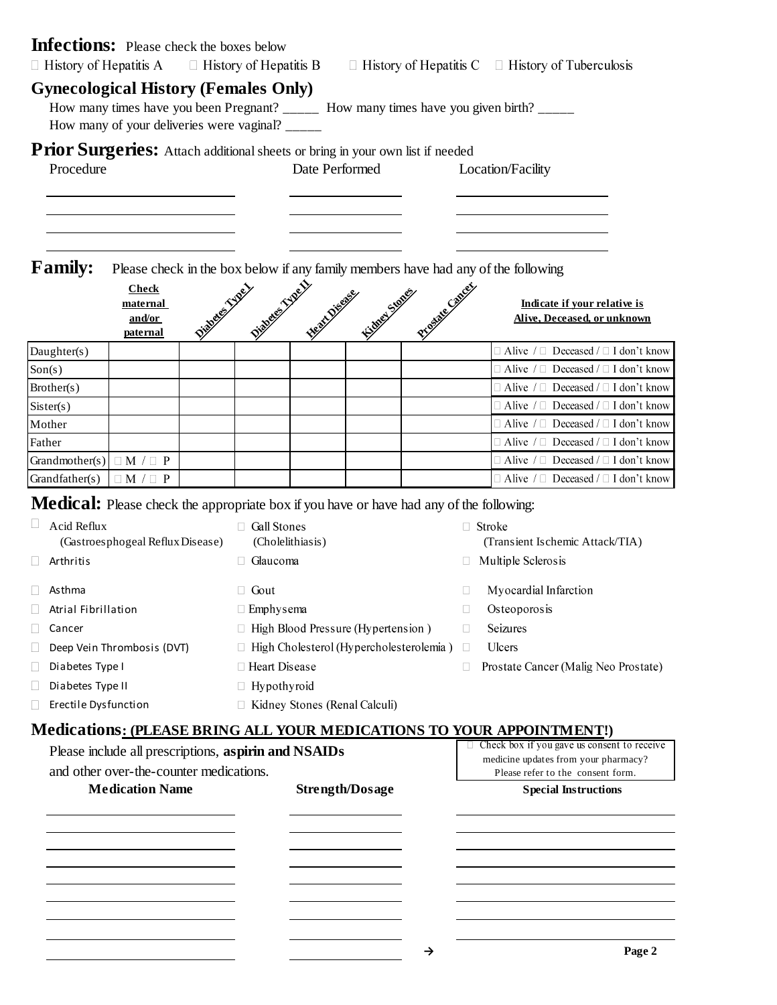| <b>Infections:</b> Please check the boxes below<br>$\Box$ History of Hepatitis A               |                                                      |                                           |                 |                                    |                        |                                           |                                      | $\Box$ History of Hepatitis B $\Box$ History of Hepatitis C $\Box$ History of Tuberculosis                   |  |
|------------------------------------------------------------------------------------------------|------------------------------------------------------|-------------------------------------------|-----------------|------------------------------------|------------------------|-------------------------------------------|--------------------------------------|--------------------------------------------------------------------------------------------------------------|--|
| <b>Gynecological History (Females Only)</b>                                                    | How many of your deliveries were vaginal?            |                                           |                 |                                    |                        |                                           |                                      | How many times have you been Pregnant? ______ How many times have you given birth? _____                     |  |
| Prior Surgeries: Attach additional sheets or bring in your own list if needed<br>Procedure     |                                                      |                                           |                 | Date Performed                     |                        |                                           |                                      | Location/Facility                                                                                            |  |
| <b>Family:</b>                                                                                 |                                                      |                                           |                 |                                    |                        |                                           |                                      | Please check in the box below if any family members have had any of the following                            |  |
|                                                                                                | <b>Check</b><br>maternal<br>and/or<br>paternal       |                                           |                 | NAMES AND DESCRIPTIONS OF PROPERTY |                        | <b>Trigoneone</b>                         |                                      | Indicate if your relative is<br>Alive, Deceased, or unknown                                                  |  |
| Daughter(s)                                                                                    |                                                      |                                           |                 |                                    |                        |                                           |                                      | $\Box$ Alive / $\Box$ Deceased / $\Box$ I don't know                                                         |  |
| Son(s)                                                                                         |                                                      |                                           |                 |                                    |                        |                                           |                                      | $\Box$ Alive / $\Box$ Deceased / $\Box$ I don't know                                                         |  |
| Brother(s)                                                                                     |                                                      |                                           |                 |                                    |                        |                                           |                                      | $\Box$ Alive / $\Box$ Deceased / $\Box$ I don't know                                                         |  |
| Sister(s)                                                                                      |                                                      |                                           |                 |                                    |                        |                                           |                                      | $\Box$ Alive $\Box$ Deceased $\Box$ I don't know                                                             |  |
| Mother                                                                                         |                                                      |                                           |                 |                                    |                        |                                           |                                      | $\Box$ Alive / $\Box$ Deceased / $\Box$ I don't know                                                         |  |
| Father                                                                                         |                                                      |                                           |                 |                                    |                        |                                           |                                      | $\Box$ Alive / $\Box$ Deceased / $\Box$ I don't know                                                         |  |
| Grandmother(s) $\Box$ M / $\Box$ P                                                             |                                                      |                                           |                 |                                    |                        |                                           |                                      | $\Box$ Alive / $\Box$ Deceased / $\Box$ I don't know<br>$\Box$ Alive / $\Box$ Deceased / $\Box$ I don't know |  |
| Grandfather(s)                                                                                 | $\Box M / \Box P$                                    |                                           |                 |                                    |                        |                                           |                                      |                                                                                                              |  |
| <b>Medical:</b> Please check the appropriate box if you have or have had any of the following: |                                                      |                                           |                 |                                    |                        |                                           |                                      |                                                                                                              |  |
| Acid Reflux                                                                                    |                                                      |                                           | Gall Stones     |                                    |                        |                                           |                                      | □ Stroke                                                                                                     |  |
|                                                                                                | (Gastroesphogeal Reflux Disease)                     |                                           |                 | (Cholelithiasis)                   |                        |                                           |                                      | (Transient Ischemic Attack/TIA)                                                                              |  |
| Arthritis                                                                                      |                                                      |                                           | $\Box$ Glaucoma |                                    |                        |                                           |                                      | $\Box$ Multiple Sclerosis                                                                                    |  |
| Asthma                                                                                         |                                                      |                                           | $\Box$ Gout     |                                    |                        |                                           | ш                                    | Myocardial Infarction                                                                                        |  |
| Atrial Fibrillation                                                                            |                                                      | □ Emphysema                               |                 |                                    |                        | Osteoporosis                              |                                      |                                                                                                              |  |
| Cancer                                                                                         |                                                      | $\Box$ High Blood Pressure (Hypertension) |                 |                                    |                        | Seizures<br>П                             |                                      |                                                                                                              |  |
|                                                                                                | Deep Vein Thrombosis (DVT)                           |                                           |                 |                                    |                        | □ High Cholesterol (Hypercholesterolemia) | n.                                   | Ulcers                                                                                                       |  |
| Diabetes Type I                                                                                | □ Heart Disease                                      |                                           |                 |                                    |                        | $\Box$                                    | Prostate Cancer (Malig Neo Prostate) |                                                                                                              |  |
| Diabetes Type II                                                                               |                                                      |                                           | □ Hypothyroid   |                                    |                        |                                           |                                      |                                                                                                              |  |
| Erectile Dysfunction                                                                           |                                                      |                                           |                 | □ Kidney Stones (Renal Calculi)    |                        |                                           |                                      |                                                                                                              |  |
|                                                                                                |                                                      |                                           |                 |                                    |                        |                                           |                                      | <b>Medications: (PLEASE BRING ALL YOUR MEDICATIONS TO YOUR APPOINTMENT!)</b>                                 |  |
|                                                                                                | Please include all prescriptions, aspirin and NSAIDs |                                           |                 |                                    |                        |                                           |                                      | Check box if you gave us consent to receive                                                                  |  |
|                                                                                                | and other over-the-counter medications.              |                                           |                 |                                    |                        |                                           |                                      | medicine updates from your pharmacy?                                                                         |  |
|                                                                                                | <b>Medication Name</b>                               |                                           |                 |                                    | <b>Strength/Dosage</b> |                                           |                                      | Please refer to the consent form.                                                                            |  |
|                                                                                                |                                                      |                                           |                 |                                    |                        |                                           |                                      | <b>Special Instructions</b>                                                                                  |  |
|                                                                                                |                                                      |                                           |                 |                                    |                        |                                           |                                      |                                                                                                              |  |
|                                                                                                |                                                      |                                           |                 |                                    |                        |                                           |                                      |                                                                                                              |  |
|                                                                                                |                                                      |                                           |                 |                                    |                        |                                           |                                      |                                                                                                              |  |
|                                                                                                |                                                      |                                           |                 |                                    |                        |                                           |                                      |                                                                                                              |  |
|                                                                                                |                                                      |                                           |                 |                                    |                        |                                           |                                      |                                                                                                              |  |
|                                                                                                |                                                      |                                           |                 |                                    |                        |                                           |                                      |                                                                                                              |  |
|                                                                                                |                                                      |                                           |                 |                                    |                        |                                           |                                      | P <sub>000</sub>                                                                                             |  |